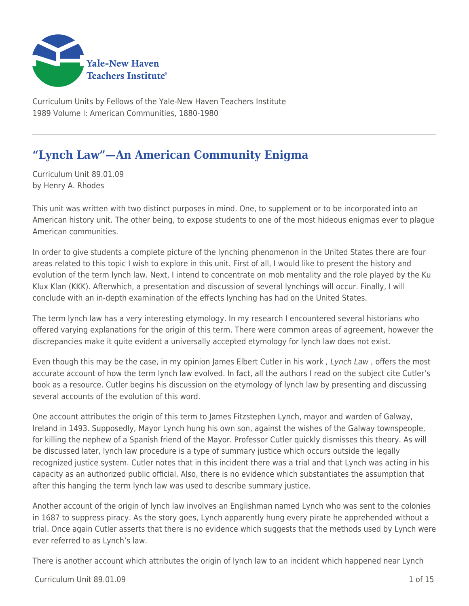

Curriculum Units by Fellows of the Yale-New Haven Teachers Institute 1989 Volume I: American Communities, 1880-1980

# **"Lynch Law"—An American Community Enigma**

Curriculum Unit 89.01.09 by Henry A. Rhodes

This unit was written with two distinct purposes in mind. One, to supplement or to be incorporated into an American history unit. The other being, to expose students to one of the most hideous enigmas ever to plague American communities.

In order to give students a complete picture of the lynching phenomenon in the United States there are four areas related to this topic I wish to explore in this unit. First of all, I would like to present the history and evolution of the term lynch law. Next, I intend to concentrate on mob mentality and the role played by the Ku Klux Klan (KKK). Afterwhich, a presentation and discussion of several lynchings will occur. Finally, I will conclude with an in-depth examination of the effects lynching has had on the United States.

The term lynch law has a very interesting etymology. In my research I encountered several historians who offered varying explanations for the origin of this term. There were common areas of agreement, however the discrepancies make it quite evident a universally accepted etymology for lynch law does not exist.

Even though this may be the case, in my opinion James Elbert Cutler in his work, Lynch Law, offers the most accurate account of how the term lynch law evolved. In fact, all the authors I read on the subject cite Cutler's book as a resource. Cutler begins his discussion on the etymology of lynch law by presenting and discussing several accounts of the evolution of this word.

One account attributes the origin of this term to James Fitzstephen Lynch, mayor and warden of Galway, Ireland in 1493. Supposedly, Mayor Lynch hung his own son, against the wishes of the Galway townspeople, for killing the nephew of a Spanish friend of the Mayor. Professor Cutler quickly dismisses this theory. As will be discussed later, lynch law procedure is a type of summary justice which occurs outside the legally recognized justice system. Cutler notes that in this incident there was a trial and that Lynch was acting in his capacity as an authorized public official. Also, there is no evidence which substantiates the assumption that after this hanging the term lynch law was used to describe summary justice.

Another account of the origin of lynch law involves an Englishman named Lynch who was sent to the colonies in 1687 to suppress piracy. As the story goes, Lynch apparently hung every pirate he apprehended without a trial. Once again Cutler asserts that there is no evidence which suggests that the methods used by Lynch were ever referred to as Lynch's law.

There is another account which attributes the origin of lynch law to an incident which happened near Lynch

 $C$ urriculum Unit 89.01.09  $\qquad \qquad$  1.06 15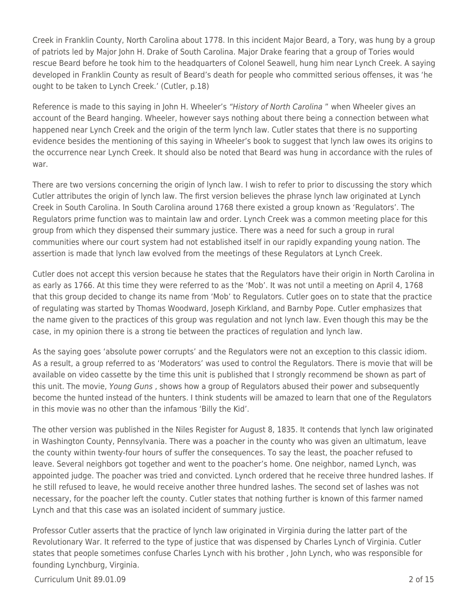Creek in Franklin County, North Carolina about 1778. In this incident Major Beard, a Tory, was hung by a group of patriots led by Major John H. Drake of South Carolina. Major Drake fearing that a group of Tories would rescue Beard before he took him to the headquarters of Colonel Seawell, hung him near Lynch Creek. A saying developed in Franklin County as result of Beard's death for people who committed serious offenses, it was 'he ought to be taken to Lynch Creek.' (Cutler, p.18)

Reference is made to this saying in John H. Wheeler's "History of North Carolina" when Wheeler gives an account of the Beard hanging. Wheeler, however says nothing about there being a connection between what happened near Lynch Creek and the origin of the term lynch law. Cutler states that there is no supporting evidence besides the mentioning of this saying in Wheeler's book to suggest that lynch law owes its origins to the occurrence near Lynch Creek. It should also be noted that Beard was hung in accordance with the rules of war.

There are two versions concerning the origin of lynch law. I wish to refer to prior to discussing the story which Cutler attributes the origin of lynch law. The first version believes the phrase lynch law originated at Lynch Creek in South Carolina. In South Carolina around 1768 there existed a group known as 'Regulators'. The Regulators prime function was to maintain law and order. Lynch Creek was a common meeting place for this group from which they dispensed their summary justice. There was a need for such a group in rural communities where our court system had not established itself in our rapidly expanding young nation. The assertion is made that lynch law evolved from the meetings of these Regulators at Lynch Creek.

Cutler does not accept this version because he states that the Regulators have their origin in North Carolina in as early as 1766. At this time they were referred to as the 'Mob'. It was not until a meeting on April 4, 1768 that this group decided to change its name from 'Mob' to Regulators. Cutler goes on to state that the practice of regulating was started by Thomas Woodward, Joseph Kirkland, and Barnby Pope. Cutler emphasizes that the name given to the practices of this group was regulation and not lynch law. Even though this may be the case, in my opinion there is a strong tie between the practices of regulation and lynch law.

As the saying goes 'absolute power corrupts' and the Regulators were not an exception to this classic idiom. As a result, a group referred to as 'Moderators' was used to control the Regulators. There is movie that will be available on video cassette by the time this unit is published that I strongly recommend be shown as part of this unit. The movie, Young Guns , shows how a group of Regulators abused their power and subsequently become the hunted instead of the hunters. I think students will be amazed to learn that one of the Regulators in this movie was no other than the infamous 'Billy the Kid'.

The other version was published in the Niles Register for August 8, 1835. It contends that lynch law originated in Washington County, Pennsylvania. There was a poacher in the county who was given an ultimatum, leave the county within twenty-four hours of suffer the consequences. To say the least, the poacher refused to leave. Several neighbors got together and went to the poacher's home. One neighbor, named Lynch, was appointed judge. The poacher was tried and convicted. Lynch ordered that he receive three hundred lashes. If he still refused to leave, he would receive another three hundred lashes. The second set of lashes was not necessary, for the poacher left the county. Cutler states that nothing further is known of this farmer named Lynch and that this case was an isolated incident of summary justice.

Professor Cutler asserts that the practice of lynch law originated in Virginia during the latter part of the Revolutionary War. It referred to the type of justice that was dispensed by Charles Lynch of Virginia. Cutler states that people sometimes confuse Charles Lynch with his brother , John Lynch, who was responsible for founding Lynchburg, Virginia.

Curriculum Unit 89.01.09 2 of 15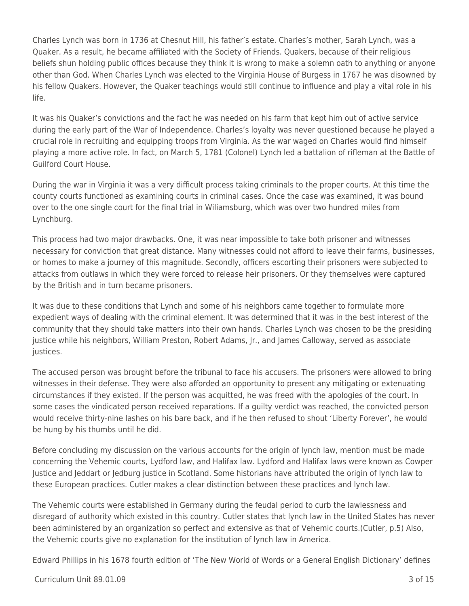Charles Lynch was born in 1736 at Chesnut Hill, his father's estate. Charles's mother, Sarah Lynch, was a Quaker. As a result, he became affiliated with the Society of Friends. Quakers, because of their religious beliefs shun holding public offices because they think it is wrong to make a solemn oath to anything or anyone other than God. When Charles Lynch was elected to the Virginia House of Burgess in 1767 he was disowned by his fellow Quakers. However, the Quaker teachings would still continue to influence and play a vital role in his life.

It was his Quaker's convictions and the fact he was needed on his farm that kept him out of active service during the early part of the War of Independence. Charles's loyalty was never questioned because he played a crucial role in recruiting and equipping troops from Virginia. As the war waged on Charles would find himself playing a more active role. In fact, on March 5, 1781 (Colonel) Lynch led a battalion of rifleman at the Battle of Guilford Court House.

During the war in Virginia it was a very difficult process taking criminals to the proper courts. At this time the county courts functioned as examining courts in criminal cases. Once the case was examined, it was bound over to the one single court for the final trial in Wiliamsburg, which was over two hundred miles from Lynchburg.

This process had two major drawbacks. One, it was near impossible to take both prisoner and witnesses necessary for conviction that great distance. Many witnesses could not afford to leave their farms, businesses, or homes to make a journey of this magnitude. Secondly, officers escorting their prisoners were subjected to attacks from outlaws in which they were forced to release heir prisoners. Or they themselves were captured by the British and in turn became prisoners.

It was due to these conditions that Lynch and some of his neighbors came together to formulate more expedient ways of dealing with the criminal element. It was determined that it was in the best interest of the community that they should take matters into their own hands. Charles Lynch was chosen to be the presiding justice while his neighbors, William Preston, Robert Adams, Jr., and James Calloway, served as associate justices.

The accused person was brought before the tribunal to face his accusers. The prisoners were allowed to bring witnesses in their defense. They were also afforded an opportunity to present any mitigating or extenuating circumstances if they existed. If the person was acquitted, he was freed with the apologies of the court. In some cases the vindicated person received reparations. If a guilty verdict was reached, the convicted person would receive thirty-nine lashes on his bare back, and if he then refused to shout 'Liberty Forever', he would be hung by his thumbs until he did.

Before concluding my discussion on the various accounts for the origin of lynch law, mention must be made concerning the Vehemic courts, Lydford law, and Halifax law. Lydford and Halifax laws were known as Cowper Justice and Jeddart or Jedburg justice in Scotland. Some historians have attributed the origin of lynch law to these European practices. Cutler makes a clear distinction between these practices and lynch law.

The Vehemic courts were established in Germany during the feudal period to curb the lawlessness and disregard of authority which existed in this country. Cutler states that lynch law in the United States has never been administered by an organization so perfect and extensive as that of Vehemic courts.(Cutler, p.5) Also, the Vehemic courts give no explanation for the institution of lynch law in America.

Edward Phillips in his 1678 fourth edition of 'The New World of Words or a General English Dictionary' defines

Curriculum Unit 89.01.09 3 of 15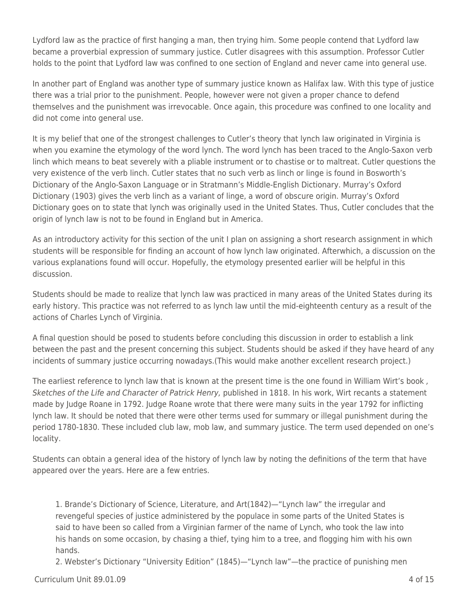Lydford law as the practice of first hanging a man, then trying him. Some people contend that Lydford law became a proverbial expression of summary justice. Cutler disagrees with this assumption. Professor Cutler holds to the point that Lydford law was confined to one section of England and never came into general use.

In another part of England was another type of summary justice known as Halifax law. With this type of justice there was a trial prior to the punishment. People, however were not given a proper chance to defend themselves and the punishment was irrevocable. Once again, this procedure was confined to one locality and did not come into general use.

It is my belief that one of the strongest challenges to Cutler's theory that lynch law originated in Virginia is when you examine the etymology of the word lynch. The word lynch has been traced to the Anglo-Saxon verb linch which means to beat severely with a pliable instrument or to chastise or to maltreat. Cutler questions the very existence of the verb linch. Cutler states that no such verb as linch or linge is found in Bosworth's Dictionary of the Anglo-Saxon Language or in Stratmann's Middle-English Dictionary. Murray's Oxford Dictionary (1903) gives the verb linch as a variant of linge, a word of obscure origin. Murray's Oxford Dictionary goes on to state that lynch was originally used in the United States. Thus, Cutler concludes that the origin of lynch law is not to be found in England but in America.

As an introductory activity for this section of the unit I plan on assigning a short research assignment in which students will be responsible for finding an account of how lynch law originated. Afterwhich, a discussion on the various explanations found will occur. Hopefully, the etymology presented earlier will be helpful in this discussion.

Students should be made to realize that lynch law was practiced in many areas of the United States during its early history. This practice was not referred to as lynch law until the mid-eighteenth century as a result of the actions of Charles Lynch of Virginia.

A final question should be posed to students before concluding this discussion in order to establish a link between the past and the present concerning this subject. Students should be asked if they have heard of any incidents of summary justice occurring nowadays.(This would make another excellent research project.)

The earliest reference to lynch law that is known at the present time is the one found in William Wirt's book, Sketches of the Life and Character of Patrick Henry, published in 1818. In his work, Wirt recants a statement made by Judge Roane in 1792. Judge Roane wrote that there were many suits in the year 1792 for inflicting lynch law. It should be noted that there were other terms used for summary or illegal punishment during the period 1780-1830. These included club law, mob law, and summary justice. The term used depended on one's locality.

Students can obtain a general idea of the history of lynch law by noting the definitions of the term that have appeared over the years. Here are a few entries.

1. Brande's Dictionary of Science, Literature, and Art(1842)—"Lynch law" the irregular and revengeful species of justice administered by the populace in some parts of the United States is said to have been so called from a Virginian farmer of the name of Lynch, who took the law into his hands on some occasion, by chasing a thief, tying him to a tree, and flogging him with his own hands.

2. Webster's Dictionary "University Edition" (1845)—"Lynch law"—the practice of punishing men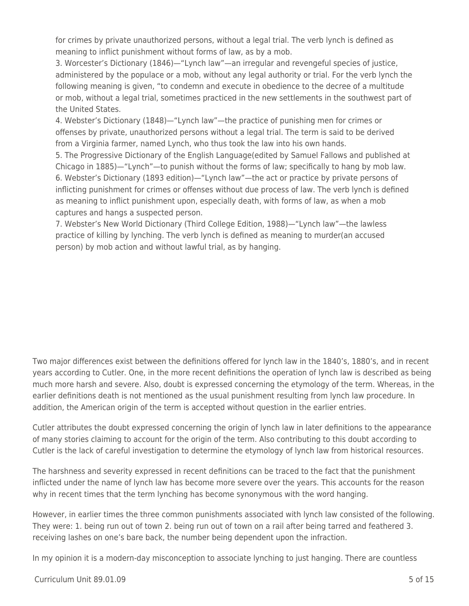for crimes by private unauthorized persons, without a legal trial. The verb lynch is defined as meaning to inflict punishment without forms of law, as by a mob.

3. Worcester's Dictionary (1846)—"Lynch law"—an irregular and revengeful species of justice, administered by the populace or a mob, without any legal authority or trial. For the verb lynch the following meaning is given, "to condemn and execute in obedience to the decree of a multitude or mob, without a legal trial, sometimes practiced in the new settlements in the southwest part of the United States.

4. Webster's Dictionary (1848)—"Lynch law"—the practice of punishing men for crimes or offenses by private, unauthorized persons without a legal trial. The term is said to be derived from a Virginia farmer, named Lynch, who thus took the law into his own hands.

5. The Progressive Dictionary of the English Language(edited by Samuel Fallows and published at Chicago in 1885)—"Lynch"—to punish without the forms of law; specifically to hang by mob law. 6. Webster's Dictionary (1893 edition)—"Lynch law"—the act or practice by private persons of inflicting punishment for crimes or offenses without due process of law. The verb lynch is defined as meaning to inflict punishment upon, especially death, with forms of law, as when a mob captures and hangs a suspected person.

7. Webster's New World Dictionary (Third College Edition, 1988)—"Lynch law"—the lawless practice of killing by lynching. The verb lynch is defined as meaning to murder(an accused person) by mob action and without lawful trial, as by hanging.

Two major differences exist between the definitions offered for lynch law in the 1840's, 1880's, and in recent years according to Cutler. One, in the more recent definitions the operation of lynch law is described as being much more harsh and severe. Also, doubt is expressed concerning the etymology of the term. Whereas, in the earlier definitions death is not mentioned as the usual punishment resulting from lynch law procedure. In addition, the American origin of the term is accepted without question in the earlier entries.

Cutler attributes the doubt expressed concerning the origin of lynch law in later definitions to the appearance of many stories claiming to account for the origin of the term. Also contributing to this doubt according to Cutler is the lack of careful investigation to determine the etymology of lynch law from historical resources.

The harshness and severity expressed in recent definitions can be traced to the fact that the punishment inflicted under the name of lynch law has become more severe over the years. This accounts for the reason why in recent times that the term lynching has become synonymous with the word hanging.

However, in earlier times the three common punishments associated with lynch law consisted of the following. They were: 1. being run out of town 2. being run out of town on a rail after being tarred and feathered 3. receiving lashes on one's bare back, the number being dependent upon the infraction.

In my opinion it is a modern-day misconception to associate lynching to just hanging. There are countless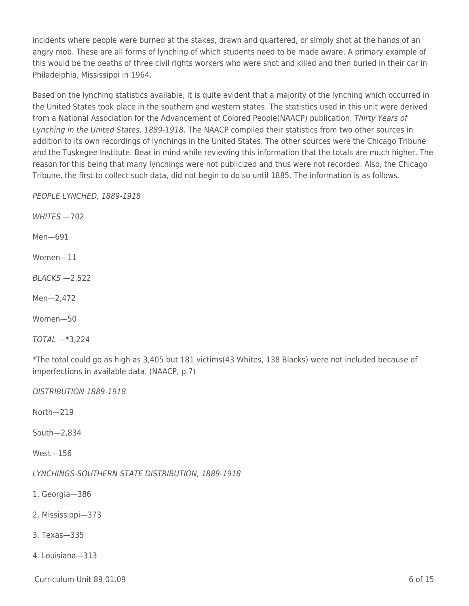incidents where people were burned at the stakes, drawn and quartered, or simply shot at the hands of an angry mob. These are all forms of lynching of which students need to be made aware. A primary example of this would be the deaths of three civil rights workers who were shot and killed and then buried in their car in Philadelphia, Mississippi in 1964.

Based on the lynching statistics available, it is quite evident that a majority of the lynching which occurred in the United States took place in the southern and western states. The statistics used in this unit were derived from a National Association for the Advancement of Colored People(NAACP) publication, Thirty Years of Lynching in the United States, 1889-1918. The NAACP compiled their statistics from two other sources in addition to its own recordings of lynchings in the United States. The other sources were the Chicago Tribune and the Tuskegee Institute. Bear in mind while reviewing this information that the totals are much higher. The reason for this being that many lynchings were not publicized and thus were not recorded. Also, the Chicago Tribune, the first to collect such data, did not begin to do so until 1885. The information is as follows.

PEOPLE LYNCHED, 1889-1918

WHITES —702

Men—691

Women—11

BLACKS —2,522

Men—2,472

Women—50

TOTAL —\*3,224

\*The total could go as high as 3,405 but 181 victims(43 Whites, 138 Blacks) were not included because of imperfections in available data. (NAACP, p.7)

DISTRIBUTION 1889-1918

North—219

South—2,834

West—156

LYNCHINGS-SOUTHERN STATE DISTRIBUTION, 1889-1918

1. Georgia—386

2. Mississippi—373

- 3. Texas—335
- 4. Louisiana—313

 $C$ urriculum Unit 89.01.09 6 of 15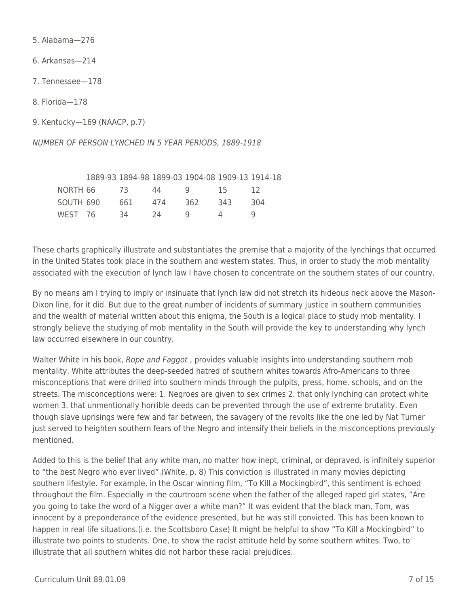5. Alabama—276

6. Arkansas—214

7. Tennessee—178

8. Florida—178

9. Kentucky—169 (NAACP, p.7)

NUMBER OF PERSON LYNCHED IN 5 YEAR PERIODS, 1889-1918

|           |      |     | 1889-93 1894-98 1899-03 1904-08 1909-13 1914-18 |     |     |
|-----------|------|-----|-------------------------------------------------|-----|-----|
| NORTH 66  | - 73 | 44  | <u>u</u>                                        | 15. |     |
| SOUTH 690 | 661  | 474 | 362                                             | 343 | 304 |
| WEST 76   | 34   | 24  | Q                                               | 4   |     |

These charts graphically illustrate and substantiates the premise that a majority of the lynchings that occurred in the United States took place in the southern and western states. Thus, in order to study the mob mentality associated with the execution of lynch law I have chosen to concentrate on the southern states of our country.

By no means am I trying to imply or insinuate that lynch law did not stretch its hideous neck above the Mason-Dixon line, for it did. But due to the great number of incidents of summary justice in southern communities and the wealth of material written about this enigma, the South is a logical place to study mob mentality. I strongly believe the studying of mob mentality in the South will provide the key to understanding why lynch law occurred elsewhere in our country.

Walter White in his book, Rope and Faggot, provides valuable insights into understanding southern mob mentality. White attributes the deep-seeded hatred of southern whites towards Afro-Americans to three misconceptions that were drilled into southern minds through the pulpits, press, home, schools, and on the streets. The misconceptions were: 1. Negroes are given to sex crimes 2. that only lynching can protect white women 3. that unmentionally horrible deeds can be prevented through the use of extreme brutality. Even though slave uprisings were few and far between, the savagery of the revolts like the one led by Nat Turner just served to heighten southern fears of the Negro and intensify their beliefs in the misconceptions previously mentioned.

Added to this is the belief that any white man, no matter how inept, criminal, or depraved, is infinitely superior to "the best Negro who ever lived".(White, p. 8) This conviction is illustrated in many movies depicting southern lifestyle. For example, in the Oscar winning film, "To Kill a Mockingbird", this sentiment is echoed throughout the film. Especially in the courtroom scene when the father of the alleged raped girl states, "Are you going to take the word of a Nigger over a white man?" It was evident that the black man, Tom, was innocent by a preponderance of the evidence presented, but he was still convicted. This has been known to happen in real life situations.(i.e. the Scottsboro Case) lt might be helpful to show "To Kill a Mockingbird" to illustrate two points to students. One, to show the racist attitude held by some southern whites. Two, to illustrate that all southern whites did not harbor these racial prejudices.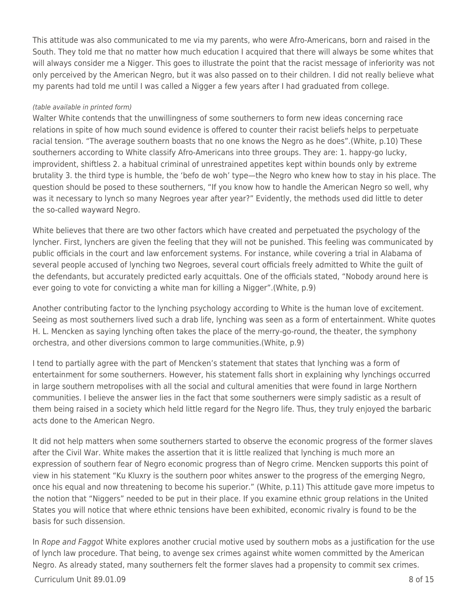This attitude was also communicated to me via my parents, who were Afro-Americans, born and raised in the South. They told me that no matter how much education I acquired that there will always be some whites that will always consider me a Nigger. This goes to illustrate the point that the racist message of inferiority was not only perceived by the American Negro, but it was also passed on to their children. I did not really believe what my parents had told me until I was called a Nigger a few years after I had graduated from college.

#### (table available in printed form)

Walter White contends that the unwillingness of some southerners to form new ideas concerning race relations in spite of how much sound evidence is offered to counter their racist beliefs helps to perpetuate racial tension. "The average southern boasts that no one knows the Negro as he does".(White, p.10) These southerners according to White classify Afro-Americans into three groups. They are: 1. happy-go lucky, improvident, shiftless 2. a habitual criminal of unrestrained appetites kept within bounds only by extreme brutality 3. the third type is humble, the 'befo de woh' type—the Negro who knew how to stay in his place. The question should be posed to these southerners, "If you know how to handle the American Negro so well, why was it necessary to lynch so many Negroes year after year?" Evidently, the methods used did little to deter the so-called wayward Negro.

White believes that there are two other factors which have created and perpetuated the psychology of the lyncher. First, lynchers are given the feeling that they will not be punished. This feeling was communicated by public officials in the court and law enforcement systems. For instance, while covering a trial in Alabama of several people accused of lynching two Negroes, several court officials freely admitted to White the guilt of the defendants, but accurately predicted early acquittals. One of the officials stated, "Nobody around here is ever going to vote for convicting a white man for killing a Nigger".(White, p.9)

Another contributing factor to the lynching psychology according to White is the human love of excitement. Seeing as most southerners lived such a drab life, lynching was seen as a form of entertainment. White quotes H. L. Mencken as saying lynching often takes the place of the merry-go-round, the theater, the symphony orchestra, and other diversions common to large communities.(White, p.9)

I tend to partially agree with the part of Mencken's statement that states that lynching was a form of entertainment for some southerners. However, his statement falls short in explaining why lynchings occurred in large southern metropolises with all the social and cultural amenities that were found in large Northern communities. I believe the answer lies in the fact that some southerners were simply sadistic as a result of them being raised in a society which held little regard for the Negro life. Thus, they truly enjoyed the barbaric acts done to the American Negro.

It did not help matters when some southerners started to observe the economic progress of the former slaves after the Civil War. White makes the assertion that it is little realized that lynching is much more an expression of southern fear of Negro economic progress than of Negro crime. Mencken supports this point of view in his statement "Ku Kluxry is the southern poor whites answer to the progress of the emerging Negro, once his equal and now threatening to become his superior." (White, p.11) This attitude gave more impetus to the notion that "Niggers" needed to be put in their place. If you examine ethnic group relations in the United States you will notice that where ethnic tensions have been exhibited, economic rivalry is found to be the basis for such dissension.

In Rope and Faggot White explores another crucial motive used by southern mobs as a justification for the use of lynch law procedure. That being, to avenge sex crimes against white women committed by the American Negro. As already stated, many southerners felt the former slaves had a propensity to commit sex crimes.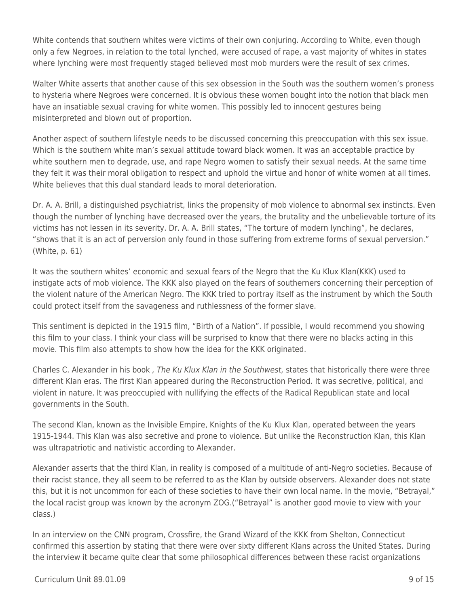White contends that southern whites were victims of their own conjuring. According to White, even though only a few Negroes, in relation to the total lynched, were accused of rape, a vast majority of whites in states where lynching were most frequently staged believed most mob murders were the result of sex crimes.

Walter White asserts that another cause of this sex obsession in the South was the southern women's proness to hysteria where Negroes were concerned. It is obvious these women bought into the notion that black men have an insatiable sexual craving for white women. This possibly led to innocent gestures being misinterpreted and blown out of proportion.

Another aspect of southern lifestyle needs to be discussed concerning this preoccupation with this sex issue. Which is the southern white man's sexual attitude toward black women. It was an acceptable practice by white southern men to degrade, use, and rape Negro women to satisfy their sexual needs. At the same time they felt it was their moral obligation to respect and uphold the virtue and honor of white women at all times. White believes that this dual standard leads to moral deterioration.

Dr. A. A. Brill, a distinguished psychiatrist, links the propensity of mob violence to abnormal sex instincts. Even though the number of lynching have decreased over the years, the brutality and the unbelievable torture of its victims has not lessen in its severity. Dr. A. A. Brill states, "The torture of modern lynching", he declares, "shows that it is an act of perversion only found in those suffering from extreme forms of sexual perversion." (White, p. 61)

It was the southern whites' economic and sexual fears of the Negro that the Ku Klux Klan(KKK) used to instigate acts of mob violence. The KKK also played on the fears of southerners concerning their perception of the violent nature of the American Negro. The KKK tried to portray itself as the instrument by which the South could protect itself from the savageness and ruthlessness of the former slave.

This sentiment is depicted in the 1915 film, "Birth of a Nation". If possible, I would recommend you showing this film to your class. I think your class will be surprised to know that there were no blacks acting in this movie. This film also attempts to show how the idea for the KKK originated.

Charles C. Alexander in his book , The Ku Klux Klan in the Southwest, states that historically there were three different Klan eras. The first Klan appeared during the Reconstruction Period. It was secretive, political, and violent in nature. It was preoccupied with nullifying the effects of the Radical Republican state and local governments in the South.

The second Klan, known as the Invisible Empire, Knights of the Ku Klux Klan, operated between the years 1915-1944. This Klan was also secretive and prone to violence. But unlike the Reconstruction Klan, this Klan was ultrapatriotic and nativistic according to Alexander.

Alexander asserts that the third Klan, in reality is composed of a multitude of anti-Negro societies. Because of their racist stance, they all seem to be referred to as the Klan by outside observers. Alexander does not state this, but it is not uncommon for each of these societies to have their own local name. In the movie, "Betrayal," the local racist group was known by the acronym ZOG.("Betrayal" is another good movie to view with your class.)

In an interview on the CNN program, Crossfire, the Grand Wizard of the KKK from Shelton, Connecticut confirmed this assertion by stating that there were over sixty different Klans across the United States. During the interview it became quite clear that some philosophical differences between these racist organizations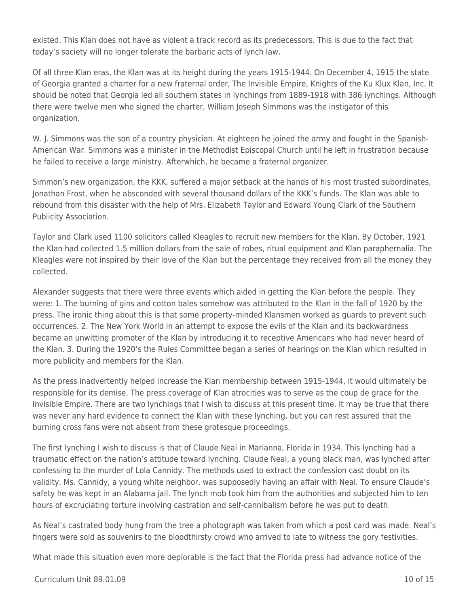existed. This Klan does not have as violent a track record as its predecessors. This is due to the fact that today's society will no longer tolerate the barbaric acts of lynch law.

Of all three Klan eras, the Klan was at its height during the years 1915-1944. On December 4, 1915 the state of Georgia granted a charter for a new fraternal order, The Invisible Empire, Knights of the Ku Klux Klan, Inc. It should be noted that Georgia led all southern states in lynchings from 1889-1918 with 386 lynchings. Although there were twelve men who signed the charter, William Joseph Simmons was the instigator of this organization.

W. J. Simmons was the son of a country physician. At eighteen he joined the army and fought in the Spanish-American War. Simmons was a minister in the Methodist Episcopal Church until he left in frustration because he failed to receive a large ministry. Afterwhich, he became a fraternal organizer.

Simmon's new organization, the KKK, suffered a major setback at the hands of his most trusted subordinates, Jonathan Frost, when he absconded with several thousand dollars of the KKK's funds. The Klan was able to rebound from this disaster with the help of Mrs. Elizabeth Taylor and Edward Young Clark of the Southern Publicity Association.

Taylor and Clark used 1100 solicitors called Kleagles to recruit new members for the Klan. By October, 1921 the Klan had collected 1.5 million dollars from the sale of robes, ritual equipment and Klan paraphernalia. The Kleagles were not inspired by their love of the Klan but the percentage they received from all the money they collected.

Alexander suggests that there were three events which aided in getting the Klan before the people. They were: 1. The burning of gins and cotton bales somehow was attributed to the Klan in the fall of 1920 by the press. The ironic thing about this is that some property-minded Klansmen worked as guards to prevent such occurrences. 2. The New York World in an attempt to expose the evils of the Klan and its backwardness became an unwitting promoter of the Klan by introducing it to receptive Americans who had never heard of the Klan. 3. During the 1920's the Rules Committee began a series of hearings on the Klan which resulted in more publicity and members for the Klan.

As the press inadvertently helped increase the Klan membership between 1915-1944, it would ultimately be responsible for its demise. The press coverage of Klan atrocities was to serve as the coup de grace for the Invisible Empire. There are two lynchings that I wish to discuss at this present time. It may be true that there was never any hard evidence to connect the Klan with these lynching, but you can rest assured that the burning cross fans were not absent from these grotesque proceedings.

The first lynching I wish to discuss is that of Claude Neal in Marianna, Florida in 1934. This lynching had a traumatic effect on the nation's attitude toward lynching. Claude Neal, a young black man, was lynched after confessing to the murder of Lola Cannidy. The methods used to extract the confession cast doubt on its validity. Ms. Cannidy, a young white neighbor, was supposedly having an affair with Neal. To ensure Claude's safety he was kept in an Alabama jail. The lynch mob took him from the authorities and subjected him to ten hours of excruciating torture involving castration and self-cannibalism before he was put to death.

As Neal's castrated body hung from the tree a photograph was taken from which a post card was made. Neal's fingers were sold as souvenirs to the bloodthirsty crowd who arrived to late to witness the gory festivities.

What made this situation even more deplorable is the fact that the Florida press had advance notice of the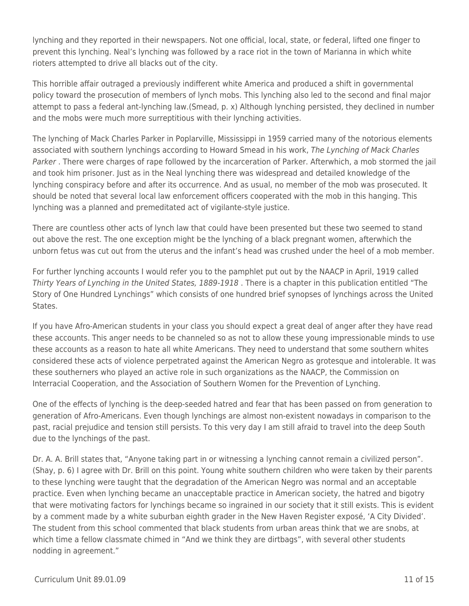lynching and they reported in their newspapers. Not one official, local, state, or federal, lifted one finger to prevent this lynching. Neal's lynching was followed by a race riot in the town of Marianna in which white rioters attempted to drive all blacks out of the city.

This horrible affair outraged a previously indifferent white America and produced a shift in governmental policy toward the prosecution of members of lynch mobs. This lynching also led to the second and final major attempt to pass a federal ant-lynching law.(Smead, p. x) Although lynching persisted, they declined in number and the mobs were much more surreptitious with their lynching activities.

The lynching of Mack Charles Parker in Poplarville, Mississippi in 1959 carried many of the notorious elements associated with southern lynchings according to Howard Smead in his work, The Lynching of Mack Charles Parker. There were charges of rape followed by the incarceration of Parker. Afterwhich, a mob stormed the jail and took him prisoner. Just as in the Neal lynching there was widespread and detailed knowledge of the lynching conspiracy before and after its occurrence. And as usual, no member of the mob was prosecuted. It should be noted that several local law enforcement officers cooperated with the mob in this hanging. This lynching was a planned and premeditated act of vigilante-style justice.

There are countless other acts of lynch law that could have been presented but these two seemed to stand out above the rest. The one exception might be the lynching of a black pregnant women, afterwhich the unborn fetus was cut out from the uterus and the infant's head was crushed under the heel of a mob member.

For further lynching accounts I would refer you to the pamphlet put out by the NAACP in April, 1919 called Thirty Years of Lynching in the United States, 1889-1918 . There is a chapter in this publication entitled "The Story of One Hundred Lynchings" which consists of one hundred brief synopses of lynchings across the United States.

If you have Afro-American students in your class you should expect a great deal of anger after they have read these accounts. This anger needs to be channeled so as not to allow these young impressionable minds to use these accounts as a reason to hate all white Americans. They need to understand that some southern whites considered these acts of violence perpetrated against the American Negro as grotesque and intolerable. It was these southerners who played an active role in such organizations as the NAACP, the Commission on Interracial Cooperation, and the Association of Southern Women for the Prevention of Lynching.

One of the effects of lynching is the deep-seeded hatred and fear that has been passed on from generation to generation of Afro-Americans. Even though lynchings are almost non-existent nowadays in comparison to the past, racial prejudice and tension still persists. To this very day I am still afraid to travel into the deep South due to the lynchings of the past.

Dr. A. A. Brill states that, "Anyone taking part in or witnessing a lynching cannot remain a civilized person". (Shay, p. 6) I agree with Dr. Brill on this point. Young white southern children who were taken by their parents to these lynching were taught that the degradation of the American Negro was normal and an acceptable practice. Even when lynching became an unacceptable practice in American society, the hatred and bigotry that were motivating factors for lynchings became so ingrained in our society that it still exists. This is evident by a comment made by a white suburban eighth grader in the New Haven Register exposé, 'A City Divided'. The student from this school commented that black students from urban areas think that we are snobs, at which time a fellow classmate chimed in "And we think they are dirtbags", with several other students nodding in agreement."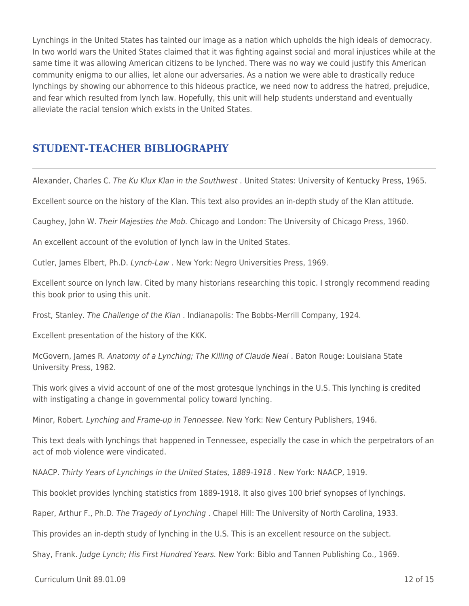Lynchings in the United States has tainted our image as a nation which upholds the high ideals of democracy. In two world wars the United States claimed that it was fighting against social and moral injustices while at the same time it was allowing American citizens to be lynched. There was no way we could justify this American community enigma to our allies, let alone our adversaries. As a nation we were able to drastically reduce lynchings by showing our abhorrence to this hideous practice, we need now to address the hatred, prejudice, and fear which resulted from lynch law. Hopefully, this unit will help students understand and eventually alleviate the racial tension which exists in the United States.

## **STUDENT-TEACHER BIBLIOGRAPHY**

Alexander, Charles C. The Ku Klux Klan in the Southwest . United States: University of Kentucky Press, 1965.

Excellent source on the history of the Klan. This text also provides an in-depth study of the Klan attitude.

Caughey, John W. Their Majesties the Mob. Chicago and London: The University of Chicago Press, 1960.

An excellent account of the evolution of lynch law in the United States.

Cutler, James Elbert, Ph.D. Lynch-Law . New York: Negro Universities Press, 1969.

Excellent source on lynch law. Cited by many historians researching this topic. I strongly recommend reading this book prior to using this unit.

Frost, Stanley. The Challenge of the Klan . Indianapolis: The Bobbs-Merrill Company, 1924.

Excellent presentation of the history of the KKK.

McGovern, James R. Anatomy of a Lynching; The Killing of Claude Neal . Baton Rouge: Louisiana State University Press, 1982.

This work gives a vivid account of one of the most grotesque lynchings in the U.S. This lynching is credited with instigating a change in governmental policy toward lynching.

Minor, Robert. Lynching and Frame-up in Tennessee. New York: New Century Publishers, 1946.

This text deals with lynchings that happened in Tennessee, especially the case in which the perpetrators of an act of mob violence were vindicated.

NAACP. Thirty Years of Lynchings in the United States, 1889-1918 . New York: NAACP, 1919.

This booklet provides lynching statistics from 1889-1918. It also gives 100 brief synopses of lynchings.

Raper, Arthur F., Ph.D. The Tragedy of Lynching . Chapel Hill: The University of North Carolina, 1933.

This provides an in-depth study of lynching in the U.S. This is an excellent resource on the subject.

Shay, Frank. Judge Lynch; His First Hundred Years. New York: Biblo and Tannen Publishing Co., 1969.

 $Curir$  Unit 89.01.09 12 of 15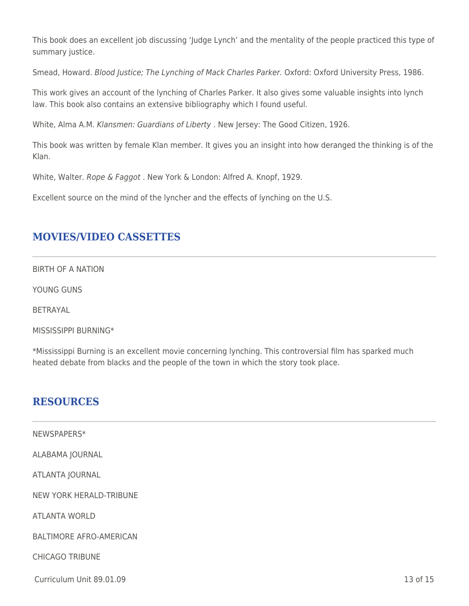This book does an excellent job discussing 'Judge Lynch' and the mentality of the people practiced this type of summary justice.

Smead, Howard. Blood Justice; The Lynching of Mack Charles Parker. Oxford: Oxford University Press, 1986.

This work gives an account of the lynching of Charles Parker. It also gives some valuable insights into lynch law. This book also contains an extensive bibliography which I found useful.

White, Alma A.M. Klansmen: Guardians of Liberty . New Jersey: The Good Citizen, 1926.

This book was written by female Klan member. It gives you an insight into how deranged the thinking is of the Klan.

White, Walter. Rope & Faggot. New York & London: Alfred A. Knopf, 1929.

Excellent source on the mind of the lyncher and the effects of lynching on the U.S.

## **MOVIES/VIDEO CASSETTES**

BIRTH OF A NATION

YOUNG GUNS

BETRAYAL

MISSISSIPPI BURNING\*

\*Mississippi Burning is an excellent movie concerning lynching. This controversial film has sparked much heated debate from blacks and the people of the town in which the story took place.

## **RESOURCES**

| NEWSPAPERS*                    |          |
|--------------------------------|----------|
| ALABAMA JOURNAL                |          |
| ATLANTA JOURNAL                |          |
| <b>NEW YORK HERALD-TRIBUNE</b> |          |
| <b>ATLANTA WORLD</b>           |          |
| <b>BALTIMORE AFRO-AMERICAN</b> |          |
| <b>CHICAGO TRIBUNE</b>         |          |
| Curriculum Unit 89.01.09       | 13 of 15 |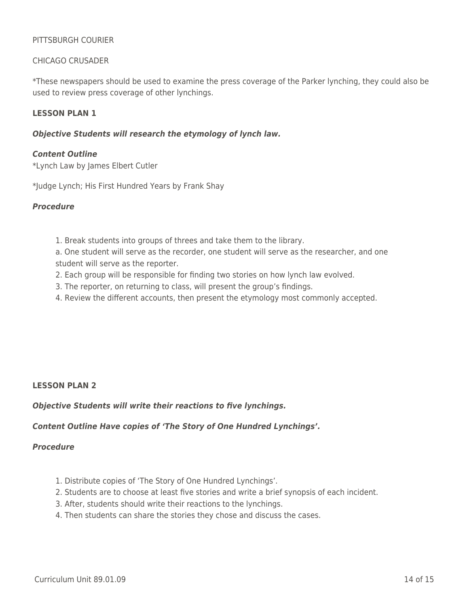### PITTSBURGH COURIER

### CHICAGO CRUSADER

\*These newspapers should be used to examine the press coverage of the Parker lynching, they could also be used to review press coverage of other lynchings.

### **LESSON PLAN 1**

#### *Objective Students will research the etymology of lynch law.*

#### *Content Outline*

\*Lynch Law by James Elbert Cutler

\*Judge Lynch; His First Hundred Years by Frank Shay

#### *Procedure*

- 1. Break students into groups of threes and take them to the library.
- a. One student will serve as the recorder, one student will serve as the researcher, and one student will serve as the reporter.
- 2. Each group will be responsible for finding two stories on how lynch law evolved.
- 3. The reporter, on returning to class, will present the group's findings.
- 4. Review the different accounts, then present the etymology most commonly accepted.

#### **LESSON PLAN 2**

*Objective Students will write their reactions to five lynchings.*

## *Content Outline Have copies of 'The Story of One Hundred Lynchings'.*

## *Procedure*

- 1. Distribute copies of 'The Story of One Hundred Lynchings'.
- 2. Students are to choose at least five stories and write a brief synopsis of each incident.
- 3. After, students should write their reactions to the lynchings.
- 4. Then students can share the stories they chose and discuss the cases.